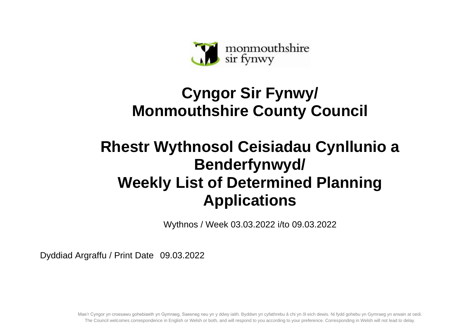

## **Cyngor Sir Fynwy/ Monmouthshire County Council**

## **Rhestr Wythnosol Ceisiadau Cynllunio a Benderfynwyd/ Weekly List of Determined Planning Applications**

Wythnos / Week 03.03.2022 i/to 09.03.2022

Dyddiad Argraffu / Print Date 09.03.2022

Mae'r Cyngor yn croesawu gohebiaeth yn Gymraeg, Saesneg neu yn y ddwy iaith. Byddwn yn cyfathrebu â chi yn ôl eich dewis. Ni fydd gohebu yn Gymraeg yn arwain at oedi. The Council welcomes correspondence in English or Welsh or both, and will respond to you according to your preference. Corresponding in Welsh will not lead to delay.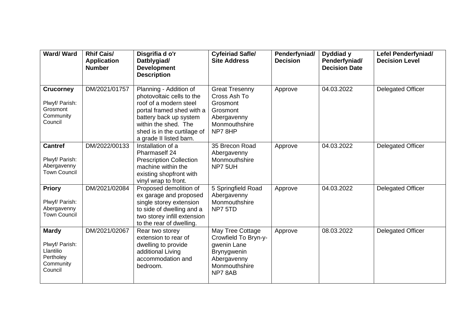| <b>Ward/Ward</b>                                                                 | <b>Rhif Cais/</b><br><b>Application</b><br><b>Number</b> | Disgrifia d o'r<br>Datblygiad/<br><b>Development</b><br><b>Description</b>                                                                                                                                             | <b>Cyfeiriad Safle/</b><br><b>Site Address</b>                                                                   | Penderfyniad/<br><b>Decision</b> | Dyddiad y<br>Penderfyniad/<br><b>Decision Date</b> | <b>Lefel Penderfyniad/</b><br><b>Decision Level</b> |
|----------------------------------------------------------------------------------|----------------------------------------------------------|------------------------------------------------------------------------------------------------------------------------------------------------------------------------------------------------------------------------|------------------------------------------------------------------------------------------------------------------|----------------------------------|----------------------------------------------------|-----------------------------------------------------|
| <b>Crucorney</b><br>Plwyf/ Parish:<br>Grosmont<br>Community<br>Council           | DM/2021/01757                                            | Planning - Addition of<br>photovoltaic cells to the<br>roof of a modern steel<br>portal framed shed with a<br>battery back up system<br>within the shed. The<br>shed is in the curtilage of<br>a grade II listed barn. | <b>Great Tresenny</b><br>Cross Ash To<br>Grosmont<br>Grosmont<br>Abergavenny<br>Monmouthshire<br>NP78HP          | Approve                          | 04.03.2022                                         | Delegated Officer                                   |
| <b>Cantref</b><br>Plwyf/ Parish:<br>Abergavenny<br><b>Town Council</b>           | DM/2022/00133                                            | Installation of a<br>Pharmaself 24<br><b>Prescription Collection</b><br>machine within the<br>existing shopfront with<br>vinyl wrap to front.                                                                          | 35 Brecon Road<br>Abergavenny<br>Monmouthshire<br>NP7 5UH                                                        | Approve                          | 04.03.2022                                         | <b>Delegated Officer</b>                            |
| <b>Priory</b><br>Plwyf/ Parish:<br>Abergavenny<br><b>Town Council</b>            | DM/2021/02084                                            | Proposed demolition of<br>ex garage and proposed<br>single storey extension<br>to side of dwelling and a<br>two storey infill extension<br>to the rear of dwelling.                                                    | 5 Springfield Road<br>Abergavenny<br>Monmouthshire<br>NP7 5TD                                                    | Approve                          | 04.03.2022                                         | Delegated Officer                                   |
| <b>Mardy</b><br>Plwyf/ Parish:<br>Llantilio<br>Pertholey<br>Community<br>Council | DM/2021/02067                                            | Rear two storey<br>extension to rear of<br>dwelling to provide<br>additional Living<br>accommodation and<br>bedroom.                                                                                                   | May Tree Cottage<br>Crowfield To Bryn-y-<br>gwenin Lane<br>Brynygwenin<br>Abergavenny<br>Monmouthshire<br>NP78AB | Approve                          | 08.03.2022                                         | Delegated Officer                                   |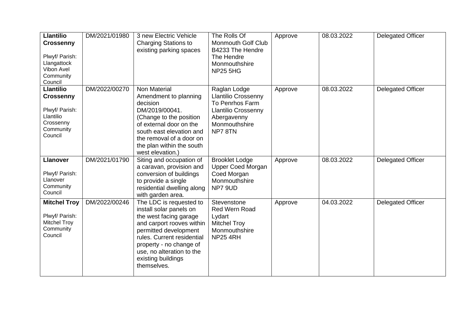| <b>Llantilio</b><br><b>Crossenny</b><br>Plwyf/ Parish:<br>Llangattock<br>Vibon Avel<br>Community<br>Council | DM/2021/01980 | 3 new Electric Vehicle<br><b>Charging Stations to</b><br>existing parking spaces                                                                                                                                                                              | The Rolls Of<br><b>Monmouth Golf Club</b><br>B4233 The Hendre<br>The Hendre<br>Monmouthshire<br><b>NP25 5HG</b>                       | Approve | 08.03.2022 | <b>Delegated Officer</b> |
|-------------------------------------------------------------------------------------------------------------|---------------|---------------------------------------------------------------------------------------------------------------------------------------------------------------------------------------------------------------------------------------------------------------|---------------------------------------------------------------------------------------------------------------------------------------|---------|------------|--------------------------|
| <b>Llantilio</b><br><b>Crossenny</b><br>Plwyf/ Parish:<br>Llantilio<br>Crossenny<br>Community<br>Council    | DM/2022/00270 | Non Material<br>Amendment to planning<br>decision<br>DM/2019/00041.<br>(Change to the position<br>of external door on the<br>south east elevation and<br>the removal of a door on<br>the plan within the south<br>west elevation.)                            | Raglan Lodge<br><b>Llantilio Crossenny</b><br>To Penrhos Farm<br><b>Llantilio Crossenny</b><br>Abergavenny<br>Monmouthshire<br>NP78TN | Approve | 08.03.2022 | <b>Delegated Officer</b> |
| <b>Llanover</b><br>Plwyf/ Parish:<br>Llanover<br>Community<br>Council                                       | DM/2021/01790 | Siting and occupation of<br>a caravan, provision and<br>conversion of buildings<br>to provide a single<br>residential dwelling along<br>with garden area.                                                                                                     | <b>Brooklet Lodge</b><br><b>Upper Coed Morgan</b><br>Coed Morgan<br>Monmouthshire<br>NP7 9UD                                          | Approve | 08.03.2022 | <b>Delegated Officer</b> |
| <b>Mitchel Troy</b><br>Plwyf/ Parish:<br><b>Mitchel Troy</b><br>Community<br>Council                        | DM/2022/00246 | The LDC is requested to<br>install solar panels on<br>the west facing garage<br>and carport rooves within<br>permitted development<br>rules. Current residential<br>property - no change of<br>use, no alteration to the<br>existing buildings<br>themselves. | Stevenstone<br>Red Wern Road<br>Lydart<br><b>Mitchel Troy</b><br>Monmouthshire<br><b>NP25 4RH</b>                                     | Approve | 04.03.2022 | <b>Delegated Officer</b> |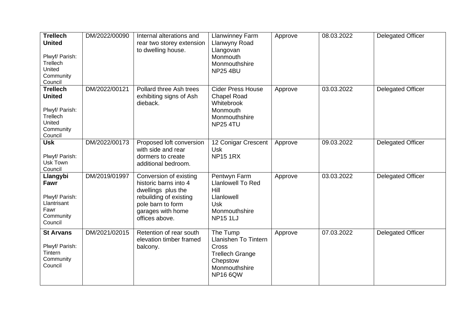| <b>Trellech</b><br><b>United</b><br>Plwyf/ Parish:<br>Trellech<br>United<br>Community<br>Council | DM/2022/00090 | Internal alterations and<br>rear two storey extension<br>to dwelling house.                                                                                 | <b>Llanwinney Farm</b><br>Llanwyny Road<br>Llangovan<br>Monmouth<br>Monmouthshire<br><b>NP25 4BU</b>                       | Approve | 08.03.2022 | <b>Delegated Officer</b> |
|--------------------------------------------------------------------------------------------------|---------------|-------------------------------------------------------------------------------------------------------------------------------------------------------------|----------------------------------------------------------------------------------------------------------------------------|---------|------------|--------------------------|
| <b>Trellech</b><br><b>United</b><br>Plwyf/ Parish:<br>Trellech<br>United<br>Community<br>Council | DM/2022/00121 | Pollard three Ash trees<br>exhibiting signs of Ash<br>dieback.                                                                                              | <b>Cider Press House</b><br><b>Chapel Road</b><br>Whitebrook<br>Monmouth<br>Monmouthshire<br><b>NP25 4TU</b>               | Approve | 03.03.2022 | <b>Delegated Officer</b> |
| <b>Usk</b><br>Plwyf/ Parish:<br>Usk Town<br>Council                                              | DM/2022/00173 | Proposed loft conversion<br>with side and rear<br>dormers to create<br>additional bedroom.                                                                  | 12 Conigar Crescent<br>Usk<br><b>NP15 1RX</b>                                                                              | Approve | 09.03.2022 | Delegated Officer        |
| Llangybi<br>Fawr<br>Plwyf/ Parish:<br>Llantrisant<br>Fawr<br>Community<br>Council                | DM/2019/01997 | Conversion of existing<br>historic barns into 4<br>dwellings plus the<br>rebuilding of existing<br>pole barn to form<br>garages with home<br>offices above. | Pentwyn Farm<br><b>Llanlowell To Red</b><br><b>Hill</b><br>Llanlowell<br>Usk<br>Monmouthshire<br><b>NP151LJ</b>            | Approve | 03.03.2022 | Delegated Officer        |
| <b>St Arvans</b><br>Plwyf/ Parish:<br>Tintern<br>Community<br>Council                            | DM/2021/02015 | Retention of rear south<br>elevation timber framed<br>balcony.                                                                                              | The Tump<br><b>Llanishen To Tintern</b><br>Cross<br><b>Trellech Grange</b><br>Chepstow<br>Monmouthshire<br><b>NP16 6QW</b> | Approve | 07.03.2022 | <b>Delegated Officer</b> |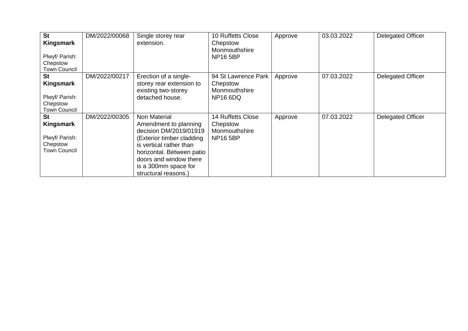| <b>St</b><br>Kingsmark<br>Plwyf/ Parish:<br>Chepstow<br><b>Town Council</b> | DM/2022/00068 | Single storey rear<br>extension.                                                                                                                                                                                               | 10 Ruffetts Close<br>Chepstow<br>Monmouthshire<br><b>NP16 5BP</b>        | Approve | 03.03.2022 | <b>Delegated Officer</b> |
|-----------------------------------------------------------------------------|---------------|--------------------------------------------------------------------------------------------------------------------------------------------------------------------------------------------------------------------------------|--------------------------------------------------------------------------|---------|------------|--------------------------|
| <b>St</b><br>Kingsmark<br>Plwyf/ Parish:<br>Chepstow<br><b>Town Council</b> | DM/2022/00217 | Erection of a single-<br>storey rear extension to<br>existing two-storey<br>detached house.                                                                                                                                    | 94 St Lawrence Park<br>Chepstow<br>Monmouthshire<br><b>NP16 6DQ</b>      | Approve | 07.03.2022 | <b>Delegated Officer</b> |
| <b>St</b><br>Kingsmark<br>Plwyf/ Parish:<br>Chepstow<br><b>Town Council</b> | DM/2022/00305 | Non Material<br>Amendment to planning<br>decision DM/2019/01919<br>(Exterior timber cladding<br>is vertical rather than<br>horizontal. Between patio<br>doors and window there<br>is a 300mm space for<br>structural reasons.) | <b>14 Ruffetts Close</b><br>Chepstow<br>Monmouthshire<br><b>NP16 5BP</b> | Approve | 07.03.2022 | <b>Delegated Officer</b> |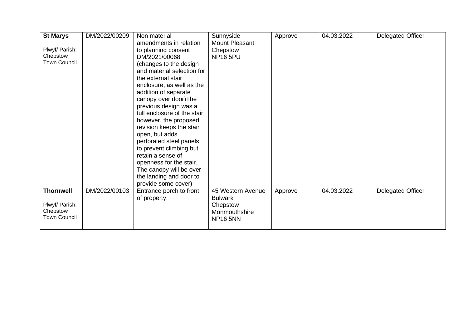| <b>St Marys</b>     | DM/2022/00209 | Non material                 | Sunnyside         | Approve | 04.03.2022 | Delegated Officer |
|---------------------|---------------|------------------------------|-------------------|---------|------------|-------------------|
|                     |               | amendments in relation       | Mount Pleasant    |         |            |                   |
| Plwyf/ Parish:      |               | to planning consent          | Chepstow          |         |            |                   |
| Chepstow            |               | DM/2021/00068                | <b>NP16 5PU</b>   |         |            |                   |
| <b>Town Council</b> |               | (changes to the design       |                   |         |            |                   |
|                     |               | and material selection for   |                   |         |            |                   |
|                     |               | the external stair           |                   |         |            |                   |
|                     |               | enclosure, as well as the    |                   |         |            |                   |
|                     |               | addition of separate         |                   |         |            |                   |
|                     |               | canopy over door) The        |                   |         |            |                   |
|                     |               | previous design was a        |                   |         |            |                   |
|                     |               | full enclosure of the stair, |                   |         |            |                   |
|                     |               | however, the proposed        |                   |         |            |                   |
|                     |               | revision keeps the stair     |                   |         |            |                   |
|                     |               | open, but adds               |                   |         |            |                   |
|                     |               | perforated steel panels      |                   |         |            |                   |
|                     |               | to prevent climbing but      |                   |         |            |                   |
|                     |               | retain a sense of            |                   |         |            |                   |
|                     |               | openness for the stair.      |                   |         |            |                   |
|                     |               | The canopy will be over      |                   |         |            |                   |
|                     |               | the landing and door to      |                   |         |            |                   |
|                     |               | provide some cover)          |                   |         |            |                   |
| <b>Thornwell</b>    | DM/2022/00103 | Entrance porch to front      | 45 Western Avenue | Approve | 04.03.2022 | Delegated Officer |
|                     |               | of property.                 | <b>Bulwark</b>    |         |            |                   |
| Plwyf/ Parish:      |               |                              | Chepstow          |         |            |                   |
| Chepstow            |               |                              | Monmouthshire     |         |            |                   |
| <b>Town Council</b> |               |                              | <b>NP16 5NN</b>   |         |            |                   |
|                     |               |                              |                   |         |            |                   |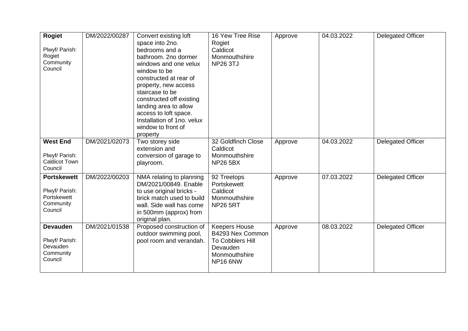| <b>Rogiet</b><br>Plwyf/ Parish:<br>Rogiet<br>Community<br>Council           | DM/2022/00287 | Convert existing loft<br>space into 2no.<br>bedrooms and a<br>bathroom. 2no dormer<br>windows and one velux<br>window to be<br>constructed at rear of<br>property, new access<br>staircase to be<br>constructed off existing<br>landing area to allow<br>access to loft space.<br>Installation of 1no. velux<br>window to front of<br>property | 16 Yew Tree Rise<br>Rogiet<br>Caldicot<br>Monmouthshire<br><b>NP26 3TJ</b>                                   | Approve | 04.03.2022 | <b>Delegated Officer</b> |
|-----------------------------------------------------------------------------|---------------|------------------------------------------------------------------------------------------------------------------------------------------------------------------------------------------------------------------------------------------------------------------------------------------------------------------------------------------------|--------------------------------------------------------------------------------------------------------------|---------|------------|--------------------------|
| <b>West End</b><br>Plwyf/ Parish:<br><b>Caldicot Town</b><br>Council        | DM/2021/02073 | Two storey side<br>extension and<br>conversion of garage to<br>playroom.                                                                                                                                                                                                                                                                       | 32 Goldfinch Close<br>Caldicot<br>Monmouthshire<br><b>NP26 5BX</b>                                           | Approve | 04.03.2022 | <b>Delegated Officer</b> |
| <b>Portskewett</b><br>Plwyf/ Parish:<br>Portskewett<br>Community<br>Council | DM/2022/00203 | NMA relating to planning<br>DM/2021/00849, Enable<br>to use original bricks -<br>brick match used to build<br>wall. Side wall has come<br>in 500mm (approx) from<br>original plan.                                                                                                                                                             | 92 Treetops<br>Portskewett<br>Caldicot<br>Monmouthshire<br><b>NP26 5RT</b>                                   | Approve | 07.03.2022 | <b>Delegated Officer</b> |
| <b>Devauden</b><br>Plwyf/ Parish:<br>Devauden<br>Community<br>Council       | DM/2021/01538 | Proposed construction of<br>outdoor swimming pool,<br>pool room and verandah.                                                                                                                                                                                                                                                                  | <b>Keepers House</b><br>B4293 Nex Common<br>To Cobblers Hill<br>Devauden<br>Monmouthshire<br><b>NP16 6NW</b> | Approve | 08.03.2022 | <b>Delegated Officer</b> |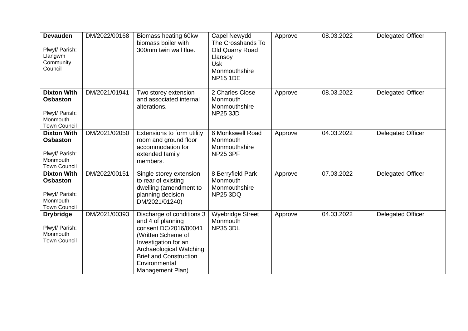| <b>Devauden</b><br>Plwyf/ Parish:<br>Llangwm<br>Community<br>Council                       | DM/2022/00168 | Biomass heating 60kw<br>biomass boiler with<br>300mm twin wall flue.                                                                                                                                                   | Capel Newydd<br>The Crosshands To<br>Old Quarry Road<br>Llansoy<br><b>Usk</b><br>Monmouthshire<br><b>NP15 1DE</b> | Approve | 08.03.2022 | <b>Delegated Officer</b> |
|--------------------------------------------------------------------------------------------|---------------|------------------------------------------------------------------------------------------------------------------------------------------------------------------------------------------------------------------------|-------------------------------------------------------------------------------------------------------------------|---------|------------|--------------------------|
| <b>Dixton With</b><br><b>Osbaston</b><br>Plwyf/ Parish:<br>Monmouth<br><b>Town Council</b> | DM/2021/01941 | Two storey extension<br>and associated internal<br>alterations.                                                                                                                                                        | 2 Charles Close<br>Monmouth<br>Monmouthshire<br><b>NP25 3JD</b>                                                   | Approve | 08.03.2022 | <b>Delegated Officer</b> |
| <b>Dixton With</b><br><b>Osbaston</b><br>Plwyf/ Parish:<br>Monmouth<br><b>Town Council</b> | DM/2021/02050 | Extensions to form utility<br>room and ground floor<br>accommodation for<br>extended family<br>members.                                                                                                                | 6 Monkswell Road<br>Monmouth<br>Monmouthshire<br><b>NP25 3PF</b>                                                  | Approve | 04.03.2022 | <b>Delegated Officer</b> |
| <b>Dixton With</b><br><b>Osbaston</b><br>Plwyf/ Parish:<br>Monmouth<br><b>Town Council</b> | DM/2022/00151 | Single storey extension<br>to rear of existing<br>dwelling (amendment to<br>planning decision<br>DM/2021/01240)                                                                                                        | 8 Berryfield Park<br>Monmouth<br>Monmouthshire<br><b>NP25 3DQ</b>                                                 | Approve | 07.03.2022 | <b>Delegated Officer</b> |
| <b>Drybridge</b><br>Plwyf/ Parish:<br>Monmouth<br><b>Town Council</b>                      | DM/2021/00393 | Discharge of conditions 3<br>and 4 of planning<br>consent DC/2016/00041<br>(Written Scheme of<br>Investigation for an<br>Archaeological Watching<br><b>Brief and Construction</b><br>Environmental<br>Management Plan) | <b>Wyebridge Street</b><br>Monmouth<br><b>NP35 3DL</b>                                                            | Approve | 04.03.2022 | <b>Delegated Officer</b> |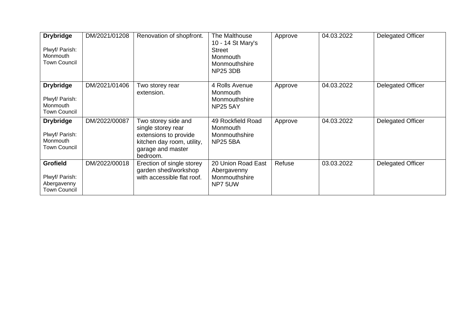| <b>Drybridge</b><br>Plwyf/ Parish:<br>Monmouth<br><b>Town Council</b>   | DM/2021/01208 | Renovation of shopfront.                                                                                                          | The Malthouse<br>10 - 14 St Mary's<br>Street<br>Monmouth<br>Monmouthshire<br><b>NP25 3DB</b> | Approve | 04.03.2022 | <b>Delegated Officer</b> |
|-------------------------------------------------------------------------|---------------|-----------------------------------------------------------------------------------------------------------------------------------|----------------------------------------------------------------------------------------------|---------|------------|--------------------------|
| <b>Drybridge</b><br>Plwyf/ Parish:<br>Monmouth<br><b>Town Council</b>   | DM/2021/01406 | Two storey rear<br>extension.                                                                                                     | 4 Rolls Avenue<br>Monmouth<br>Monmouthshire<br><b>NP25 5AY</b>                               | Approve | 04.03.2022 | <b>Delegated Officer</b> |
| <b>Drybridge</b><br>Plwyf/ Parish:<br>Monmouth<br><b>Town Council</b>   | DM/2022/00087 | Two storey side and<br>single storey rear<br>extensions to provide<br>kitchen day room, utility,<br>garage and master<br>bedroom. | 49 Rockfield Road<br>Monmouth<br>Monmouthshire<br><b>NP25 5BA</b>                            | Approve | 04.03.2022 | <b>Delegated Officer</b> |
| <b>Grofield</b><br>Plwyf/ Parish:<br>Abergavenny<br><b>Town Council</b> | DM/2022/00018 | Erection of single storey<br>garden shed/workshop<br>with accessible flat roof.                                                   | 20 Union Road East<br>Abergavenny<br>Monmouthshire<br>NP7 5UW                                | Refuse  | 03.03.2022 | <b>Delegated Officer</b> |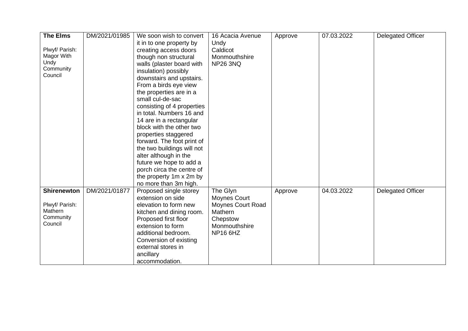| <b>The Elms</b>    | DM/2021/01985 | We soon wish to convert    | 16 Acacia Avenue         | Approve | 07.03.2022 | Delegated Officer        |
|--------------------|---------------|----------------------------|--------------------------|---------|------------|--------------------------|
|                    |               | it in to one property by   | Undy                     |         |            |                          |
| Plwyf/ Parish:     |               | creating access doors      | Caldicot                 |         |            |                          |
| Magor With         |               | though non structural      | Monmouthshire            |         |            |                          |
| Undy               |               | walls (plaster board with  | <b>NP26 3NQ</b>          |         |            |                          |
| Community          |               | insulation) possibly       |                          |         |            |                          |
| Council            |               | downstairs and upstairs.   |                          |         |            |                          |
|                    |               | From a birds eye view      |                          |         |            |                          |
|                    |               | the properties are in a    |                          |         |            |                          |
|                    |               | small cul-de-sac           |                          |         |            |                          |
|                    |               | consisting of 4 properties |                          |         |            |                          |
|                    |               | in total. Numbers 16 and   |                          |         |            |                          |
|                    |               | 14 are in a rectangular    |                          |         |            |                          |
|                    |               | block with the other two   |                          |         |            |                          |
|                    |               | properties staggered       |                          |         |            |                          |
|                    |               | forward. The foot print of |                          |         |            |                          |
|                    |               | the two buildings will not |                          |         |            |                          |
|                    |               | alter although in the      |                          |         |            |                          |
|                    |               | future we hope to add a    |                          |         |            |                          |
|                    |               | porch circa the centre of  |                          |         |            |                          |
|                    |               | the property 1m x 2m by    |                          |         |            |                          |
|                    |               | no more than 3m high.      |                          |         |            |                          |
| <b>Shirenewton</b> | DM/2021/01877 | Proposed single storey     | The Glyn                 | Approve | 04.03.2022 | <b>Delegated Officer</b> |
|                    |               | extension on side          | <b>Moynes Court</b>      |         |            |                          |
| Plwyf/ Parish:     |               | elevation to form new      | <b>Moynes Court Road</b> |         |            |                          |
| Mathern            |               | kitchen and dining room.   | Mathern                  |         |            |                          |
| Community          |               | Proposed first floor       | Chepstow                 |         |            |                          |
| Council            |               | extension to form          | Monmouthshire            |         |            |                          |
|                    |               | additional bedroom.        | <b>NP16 6HZ</b>          |         |            |                          |
|                    |               | Conversion of existing     |                          |         |            |                          |
|                    |               | external stores in         |                          |         |            |                          |
|                    |               | ancillary                  |                          |         |            |                          |
|                    |               | accommodation.             |                          |         |            |                          |